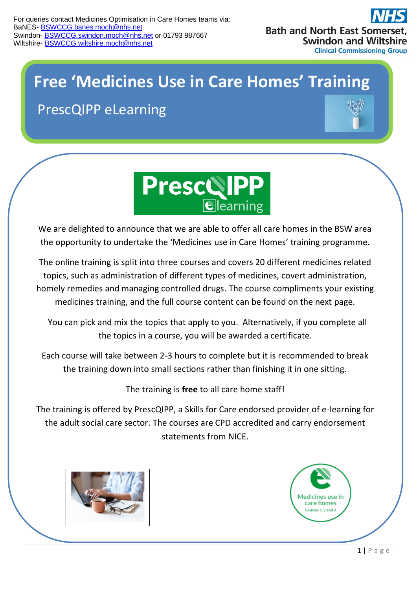

## **Free 'Medicines Use in Care Homes' Training**

PrescQIPP eLearning





We are delighted to announce that we are able to offer all care homes in the BSW area the opportunity to undertake the 'Medicines use in Care Homes' training programme.

The online training is split into three courses and covers 20 different medicines related topics, such as administration of different types of medicines, covert administration, homely remedies and managing controlled drugs. The course compliments your existing medicines training, and the full course content can be found on the next page.

 You can pick and mix the topics that apply to you. Alternatively, if you complete all the topics in a course, you will be awarded a certificate.

Each course will take between 2-3 hours to complete but it is recommended to break the training down into small sections rather than finishing it in one sitting.

The training is **free** to all care home staff!

The training is offered by PrescQIPP, a Skills for Care endorsed provider of e-learning for the adult social care sector. The courses are CPD accredited and carry endorsement statements from NICE.



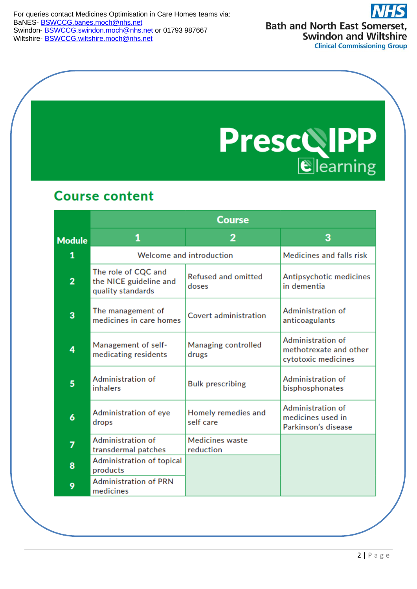For queries contact Medicines Optimisation in Care Homes teams via: BaNES- [BSWCCG.banes.moch@nhs.net](mailto:BSWCCG.banes.moch@nhs.net) Swindon- **[BSWCCG.swindon.moch@nhs.net](mailto:BSWCCG.swindon.moch@nhs.net)** or 01793 987667 Wiltshire- [BSWCCG.wiltshire.moch@nhs.net](mailto:BSWCCG.wiltshire.moch@nhs.net)

**Bath and North East Somerset, Swindon and Wiltshire Clinical Commissioning Group** 

**PrescolPP** 

## **Course content**

|                | <b>Course</b>                                                      |                                     |                                                                    |  |
|----------------|--------------------------------------------------------------------|-------------------------------------|--------------------------------------------------------------------|--|
| <b>Module</b>  | 1                                                                  | $\overline{2}$                      | 3                                                                  |  |
| 1              | Welcome and introduction                                           |                                     | Medicines and falls risk                                           |  |
| $\overline{2}$ | The role of CQC and<br>the NICE guideline and<br>quality standards | <b>Refused and omitted</b><br>doses | Antipsychotic medicines<br>in dementia                             |  |
| 3              | The management of<br>medicines in care homes                       | Covert administration               | Administration of<br>anticoagulants                                |  |
| 4              | Management of self-<br>medicating residents                        | Managing controlled<br>drugs        | Administration of<br>methotrexate and other<br>cytotoxic medicines |  |
| 5              | Administration of<br>inhalers                                      | <b>Bulk prescribing</b>             | Administration of<br>bisphosphonates                               |  |
| 6              | Administration of eye<br>drops                                     | Homely remedies and<br>self care    | Administration of<br>medicines used in<br>Parkinson's disease      |  |
| 7              | Administration of<br>transdermal patches                           | <b>Medicines</b> waste<br>reduction |                                                                    |  |
| 8              | Administration of topical<br>products                              |                                     |                                                                    |  |
| 9              | <b>Administration of PRN</b><br>medicines                          |                                     |                                                                    |  |